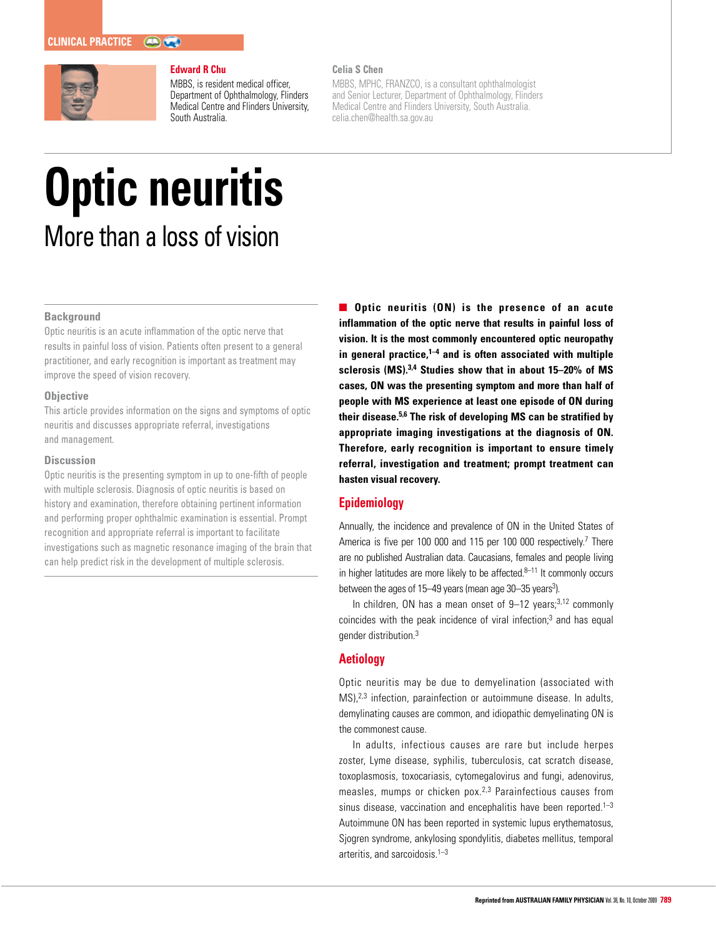

#### **Edward R Chu**

MBBS, is resident medical officer, Department of Ophthalmology, Flinders Medical Centre and Flinders University, South Australia.

## **Celia S Chen**

MBBS, MPHC, FRANZCO, is a consultant ophthalmologist and Senior Lecturer, Department of Ophthalmology, Flinders Medical Centre and Flinders University, South Australia. celia.chen@health.sa.gov.au

# **Optic neuritis**  More than a loss of vision

#### **Background**

Optic neuritis is an acute inflammation of the optic nerve that results in painful loss of vision. Patients often present to a general practitioner, and early recognition is important as treatment may improve the speed of vision recovery.

#### **Objective**

This article provides information on the signs and symptoms of optic neuritis and discusses appropriate referral, investigations and management.

#### **Discussion**

Optic neuritis is the presenting symptom in up to one-fifth of people with multiple sclerosis. Diagnosis of optic neuritis is based on history and examination, therefore obtaining pertinent information and performing proper ophthalmic examination is essential. Prompt recognition and appropriate referral is important to facilitate investigations such as magnetic resonance imaging of the brain that can help predict risk in the development of multiple sclerosis.

**Optic neuritis (ON) is the presence of an acute inflammation of the optic nerve that results in painful loss of vision. It is the most commonly encountered optic neuropathy in general practice,1–4 and is often associated with multiple sclerosis (MS).3,4 Studies show that in about 15–20% of MS cases, ON was the presenting symptom and more than half of people with MS experience at least one episode of ON during their disease.5,6 The risk of developing MS can be stratified by appropriate imaging investigations at the diagnosis of ON. Therefore, early recognition is important to ensure timely referral, investigation and treatment; prompt treatment can hasten visual recovery.**

## **Epidemiology**

Annually, the incidence and prevalence of ON in the United States of America is five per 100 000 and 115 per 100 000 respectively.<sup>7</sup> There are no published Australian data. Caucasians, females and people living in higher latitudes are more likely to be affected. $8-11$  It commonly occurs between the ages of 15–49 years (mean age 30–35 years<sup>3</sup>).

In children, ON has a mean onset of  $9-12$  years;<sup>3,12</sup> commonly coincides with the peak incidence of viral infection; $3$  and has equal gender distribution.3

## **Aetiology**

Optic neuritis may be due to demyelination (associated with MS),2,3 infection, parainfection or autoimmune disease. In adults, demylinating causes are common, and idiopathic demyelinating ON is the commonest cause.

In adults, infectious causes are rare but include herpes zoster, Lyme disease, syphilis, tuberculosis, cat scratch disease, toxoplasmosis, toxocariasis, cytomegalovirus and fungi, adenovirus, measles, mumps or chicken pox.2,3 Parainfectious causes from sinus disease, vaccination and encephalitis have been reported. $1-3$ Autoimmune ON has been reported in systemic lupus erythematosus, Sjogren syndrome, ankylosing spondylitis, diabetes mellitus, temporal arteritis, and sarcoidosis.<sup>1-3</sup>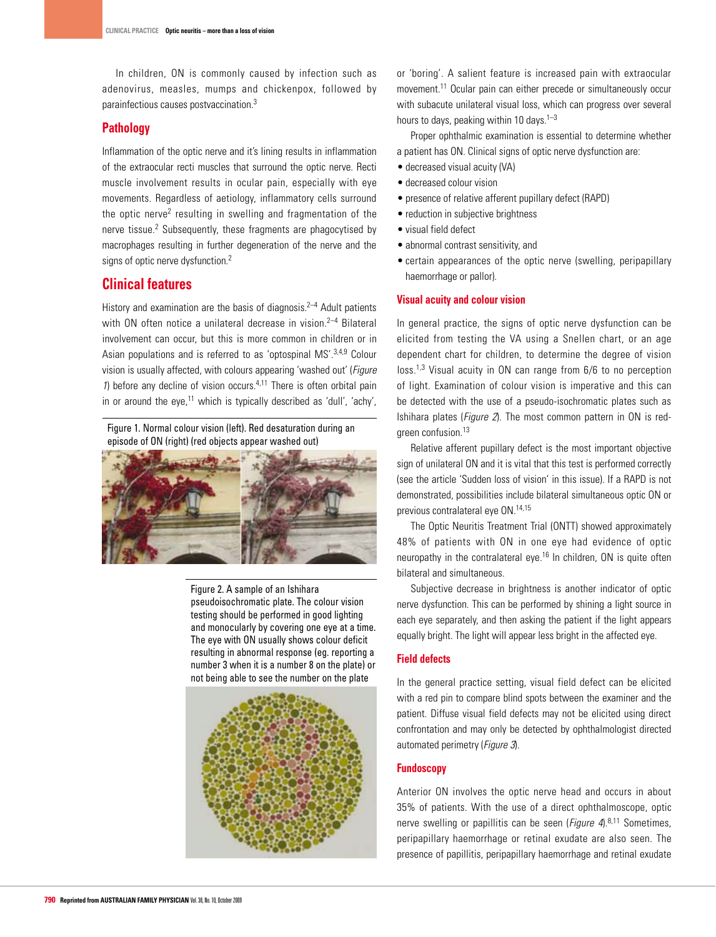In children, ON is commonly caused by infection such as adenovirus, measles, mumps and chickenpox, followed by parainfectious causes postvaccination.3

## **Pathology**

Inflammation of the optic nerve and it's lining results in inflammation of the extraocular recti muscles that surround the optic nerve. Recti muscle involvement results in ocular pain, especially with eye movements. Regardless of aetiology, inflammatory cells surround the optic nerve2 resulting in swelling and fragmentation of the nerve tissue.<sup>2</sup> Subsequently, these fragments are phagocytised by macrophages resulting in further degeneration of the nerve and the signs of optic nerve dysfunction.<sup>2</sup>

# **Clinical features**

History and examination are the basis of diagnosis.<sup>2-4</sup> Adult patients with ON often notice a unilateral decrease in vision.<sup>2-4</sup> Bilateral involvement can occur, but this is more common in children or in Asian populations and is referred to as 'optospinal MS'.<sup>3,4,9</sup> Colour vision is usually affected, with colours appearing 'washed out' (*Figure*) 1) before any decline of vision occurs. $4,11$  There is often orbital pain in or around the eye, $11$  which is typically described as 'dull', 'achy',

Figure 1. Normal colour vision (left). Red desaturation during an episode of ON (right) (red objects appear washed out)



Figure 2. A sample of an Ishihara pseudoisochromatic plate. The colour vision testing should be performed in good lighting and monocularly by covering one eye at a time. The eye with ON usually shows colour deficit resulting in abnormal response (eg. reporting a number 3 when it is a number 8 on the plate) or not being able to see the number on the plate



or 'boring'. A salient feature is increased pain with extraocular movement.11 Ocular pain can either precede or simultaneously occur with subacute unilateral visual loss, which can progress over several hours to days, peaking within 10 days.<sup>1-3</sup>

Proper ophthalmic examination is essential to determine whether a patient has ON. Clinical signs of optic nerve dysfunction are:

- decreased visual acuity (VA)
- • decreased colour vision
- presence of relative afferent pupillary defect (RAPD)
- reduction in subiective brightness
- • visual field defect
- abnormal contrast sensitivity, and
- certain appearances of the optic nerve (swelling, peripapillary haemorrhage or pallor).

## **Visual acuity and colour vision**

In general practice, the signs of optic nerve dysfunction can be elicited from testing the VA using a Snellen chart, or an age dependent chart for children, to determine the degree of vision loss.1,3 Visual acuity in ON can range from 6/6 to no perception of light. Examination of colour vision is imperative and this can be detected with the use of a pseudo-isochromatic plates such as Ishihara plates (Figure 2). The most common pattern in ON is redgreen confusion.13

Relative afferent pupillary defect is the most important objective sign of unilateral ON and it is vital that this test is performed correctly (see the article 'Sudden loss of vision' in this issue). If a RAPD is not demonstrated, possibilities include bilateral simultaneous optic ON or previous contralateral eye ON.14,15

The Optic Neuritis Treatment Trial (ONTT) showed approximately 48% of patients with ON in one eye had evidence of optic neuropathy in the contralateral eye.<sup>16</sup> In children, ON is quite often bilateral and simultaneous.

Subjective decrease in brightness is another indicator of optic nerve dysfunction. This can be performed by shining a light source in each eye separately, and then asking the patient if the light appears equally bright. The light will appear less bright in the affected eye.

### **Field defects**

In the general practice setting, visual field defect can be elicited with a red pin to compare blind spots between the examiner and the patient. Diffuse visual field defects may not be elicited using direct confrontation and may only be detected by ophthalmologist directed automated perimetry (Figure 3).

## **Fundoscopy**

Anterior ON involves the optic nerve head and occurs in about 35% of patients. With the use of a direct ophthalmoscope, optic nerve swelling or papillitis can be seen (*Figure 4*).<sup>8,11</sup> Sometimes, peripapillary haemorrhage or retinal exudate are also seen. The presence of papillitis, peripapillary haemorrhage and retinal exudate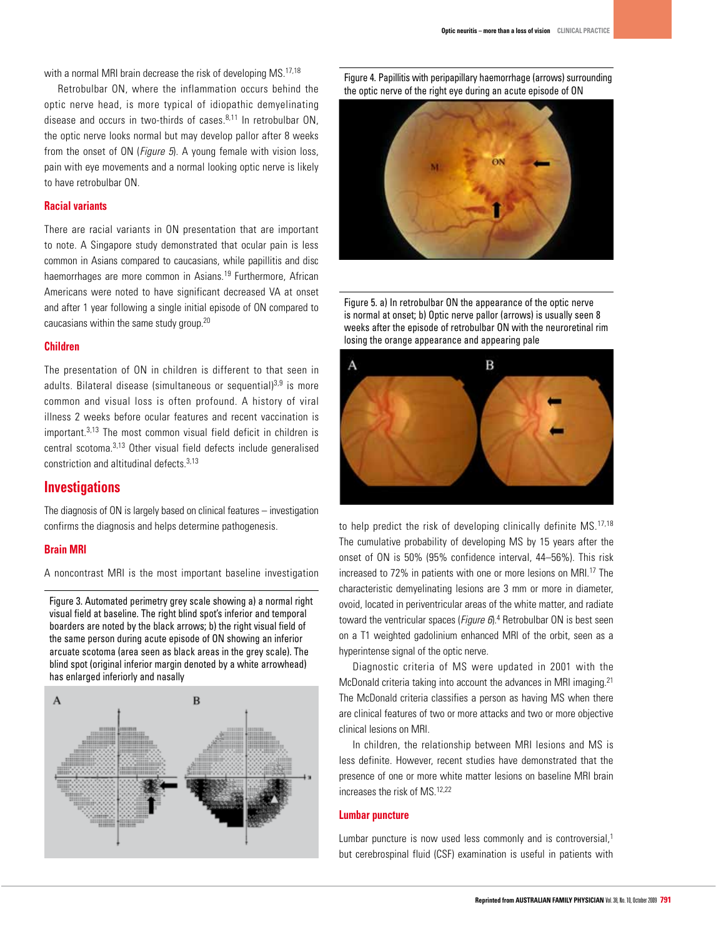with a normal MRI brain decrease the risk of developing MS.<sup>17,18</sup>

Retrobulbar ON, where the inflammation occurs behind the optic nerve head, is more typical of idiopathic demyelinating disease and occurs in two-thirds of cases  $8,11$  In retrobulbar ON the optic nerve looks normal but may develop pallor after 8 weeks from the onset of ON (*Figure 5*). A young female with vision loss, pain with eye movements and a normal looking optic nerve is likely to have retrobulbar ON.

#### **Racial variants**

There are racial variants in ON presentation that are important to note. A Singapore study demonstrated that ocular pain is less common in Asians compared to caucasians, while papillitis and disc haemorrhages are more common in Asians.<sup>19</sup> Furthermore, African Americans were noted to have significant decreased VA at onset and after 1 year following a single initial episode of ON compared to caucasians within the same study group.20

#### **Children**

The presentation of ON in children is different to that seen in adults. Bilateral disease (simultaneous or sequential) $3,9$  is more common and visual loss is often profound. A history of viral illness 2 weeks before ocular features and recent vaccination is important.3,13 The most common visual field deficit in children is central scotoma.3,13 Other visual field defects include generalised constriction and altitudinal defects.3,13

## **Investigations**

The diagnosis of ON is largely based on clinical features – investigation confirms the diagnosis and helps determine pathogenesis.

#### **Brain MRI**

A noncontrast MRI is the most important baseline investigation

Figure 3. Automated perimetry grey scale showing a) a normal right visual field at baseline. The right blind spot's inferior and temporal boarders are noted by the black arrows; b) the right visual field of the same person during acute episode of ON showing an inferior arcuate scotoma (area seen as black areas in the grey scale). The blind spot (original inferior margin denoted by a white arrowhead) has enlarged inferiorly and nasally



Figure 4. Papillitis with peripapillary haemorrhage (arrows) surrounding the optic nerve of the right eye during an acute episode of ON



Figure 5. a) In retrobulbar ON the appearance of the optic nerve is normal at onset; b) Optic nerve pallor (arrows) is usually seen 8 weeks after the episode of retrobulbar ON with the neuroretinal rim losing the orange appearance and appearing pale



to help predict the risk of developing clinically definite MS.<sup>17,18</sup> The cumulative probability of developing MS by 15 years after the onset of ON is 50% (95% confidence interval, 44–56%). This risk increased to 72% in patients with one or more lesions on MRI.<sup>17</sup> The characteristic demyelinating lesions are 3 mm or more in diameter, ovoid, located in periventricular areas of the white matter, and radiate toward the ventricular spaces (Figure  $6$ ).<sup>4</sup> Retrobulbar ON is best seen on a T1 weighted gadolinium enhanced MRI of the orbit, seen as a hyperintense signal of the optic nerve.

Diagnostic criteria of MS were updated in 2001 with the McDonald criteria taking into account the advances in MRI imaging.<sup>21</sup> The McDonald criteria classifies a person as having MS when there are clinical features of two or more attacks and two or more objective clinical lesions on MRI.

In children, the relationship between MRI lesions and MS is less definite. However, recent studies have demonstrated that the presence of one or more white matter lesions on baseline MRI brain increases the risk of MS.12,22

#### **Lumbar puncture**

Lumbar puncture is now used less commonly and is controversial,<sup>1</sup> but cerebrospinal fluid (CSF) examination is useful in patients with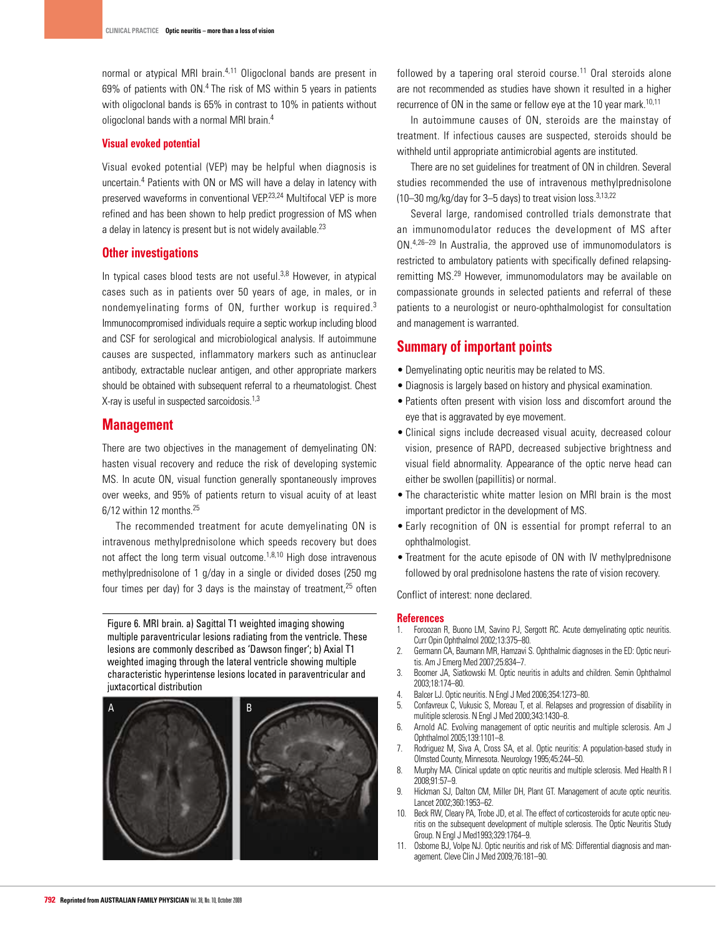normal or atypical MRI brain.<sup>4,11</sup> Oligoclonal bands are present in 69% of patients with ON.4 The risk of MS within 5 years in patients with oligoclonal bands is 65% in contrast to 10% in patients without oligoclonal bands with a normal MRI brain.4

#### **Visual evoked potential**

Visual evoked potential (VEP) may be helpful when diagnosis is uncertain.4 Patients with ON or MS will have a delay in latency with preserved waveforms in conventional VEP.23,24 Multifocal VEP is more refined and has been shown to help predict progression of MS when a delay in latency is present but is not widely available.<sup>23</sup>

#### **Other investigations**

In typical cases blood tests are not useful. $3,8$  However, in atypical cases such as in patients over 50 years of age, in males, or in nondemyelinating forms of ON, further workup is required.3 Immunocompromised individuals require a septic workup including blood and CSF for serological and microbiological analysis. If autoimmune causes are suspected, inflammatory markers such as antinuclear antibody, extractable nuclear antigen, and other appropriate markers should be obtained with subsequent referral to a rheumatologist. Chest X-ray is useful in suspected sarcoidosis.<sup>1,3</sup>

## **Management**

There are two objectives in the management of demyelinating ON: hasten visual recovery and reduce the risk of developing systemic MS. In acute ON, visual function generally spontaneously improves over weeks, and 95% of patients return to visual acuity of at least 6/12 within 12 months.<sup>25</sup>

The recommended treatment for acute demyelinating ON is intravenous methylprednisolone which speeds recovery but does not affect the long term visual outcome.<sup>1,8,10</sup> High dose intravenous methylprednisolone of 1 g/day in a single or divided doses (250 mg four times per day) for 3 days is the mainstay of treatment, $25$  often

Figure 6. MRI brain. a) Sagittal T1 weighted imaging showing multiple paraventricular lesions radiating from the ventricle. These lesions are commonly described as 'Dawson finger'; b) Axial T1 weighted imaging through the lateral ventricle showing multiple characteristic hyperintense lesions located in paraventricular and juxtacortical distribution



followed by a tapering oral steroid course.<sup>11</sup> Oral steroids alone are not recommended as studies have shown it resulted in a higher recurrence of ON in the same or fellow eye at the 10 year mark.<sup>10,11</sup>

In autoimmune causes of ON, steroids are the mainstay of treatment. If infectious causes are suspected, steroids should be withheld until appropriate antimicrobial agents are instituted.

There are no set quidelines for treatment of ON in children. Several studies recommended the use of intravenous methylprednisolone (10–30 mg/kg/day for 3–5 days) to treat vision loss.3,13,22

Several large, randomised controlled trials demonstrate that an immunomodulator reduces the development of MS after ON.4,26–29 In Australia, the approved use of immunomodulators is restricted to ambulatory patients with specifically defined relapsingremitting MS.29 However, immunomodulators may be available on compassionate grounds in selected patients and referral of these patients to a neurologist or neuro-ophthalmologist for consultation and management is warranted.

## **Summary of important points**

- Demyelinating optic neuritis may be related to MS.
- • Diagnosis is largely based on history and physical examination.
- Patients often present with vision loss and discomfort around the eye that is aggravated by eye movement.
- • Clinical signs include decreased visual acuity, decreased colour vision, presence of RAPD, decreased subjective brightness and visual field abnormality. Appearance of the optic nerve head can either be swollen (papillitis) or normal.
- The characteristic white matter lesion on MRI brain is the most important predictor in the development of MS.
- Early recognition of ON is essential for prompt referral to an ophthalmologist.
- Treatment for the acute episode of ON with IV methylprednisone followed by oral prednisolone hastens the rate of vision recovery.

Conflict of interest: none declared.

#### **References**

- 1. Foroozan R, Buono LM, Savino PJ, Sergott RC. Acute demyelinating optic neuritis. Curr Opin Ophthalmol 2002;13:375–80.
- 2. Germann CA, Baumann MR, Hamzavi S. Ophthalmic diagnoses in the ED: Optic neuritis. Am J Emerg Med 2007;25:834–7.
- 3. Boomer JA, Siatkowski M. Optic neuritis in adults and children. Semin Ophthalmol 2003;18:174–80.
- 4. BalcerLJ. Optic neuritis. N Engl J Med 2006;354:1273–80.
- 5. Confavreux C, Vukusic S, Moreau T, et al. Relapses and progression of disability in mulitiple sclerosis. N Engl J Med 2000;343:1430–8.
- 6. Arnold AC. Evolving management of optic neuritis and multiple sclerosis. Am J Ophthalmol 2005;139:1101–8.
- 7. Rodriguez M, Siva A, Cross SA, et al. Optic neuritis: A population-based study in Olmsted County, Minnesota. Neurology 1995;45:244–50.
- 8. Murphy MA. Clinical update on optic neuritis and multiple sclerosis. Med Health R I 2008;91:57–9.
- 9. Hickman SJ, Dalton CM, Miller DH, Plant GT. Management of acute optic neuritis. Lancet 2002;360:1953–62.
- 10. Beck RW, Cleary PA, Trobe JD, et al. The effect of corticosteroids for acute optic neuritis on the subsequent development of multiple sclerosis. The Optic Neuritis Study Group. N Engl J Med1993;329:1764–9.
- 0sborne BJ, Volpe NJ. Optic neuritis and risk of MS: Differential diagnosis and management. Cleve Clin J Med 2009;76:181–90.